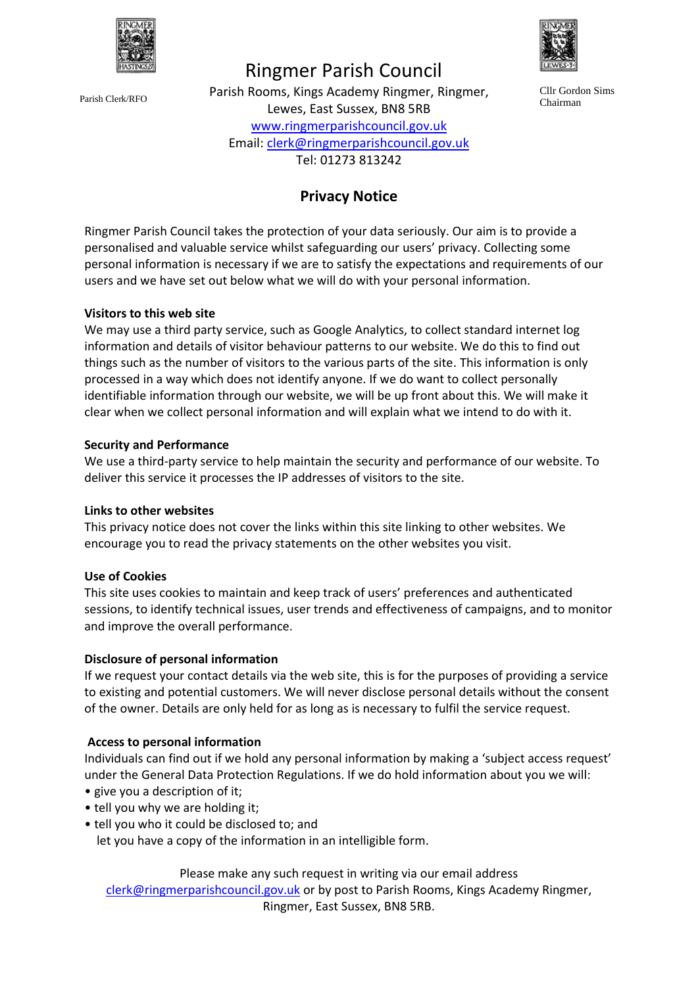

# Ringmer Parish Council

Parish Rooms, Kings Academy Ringmer, Ringmer, Parish Clerk/RFO
Chairman
Clerk/RFO
Chairman
Clerk/RFO
Chairman
Clewes, East Sussex, BN8 5RB
Clear Chairman
Parish Clerk/RFO
Chairman
Clewes, East Sussex, BN8 5RB [www.ringmerparishcouncil.gov.uk](http://www.ringmerparishcouncil.gov.uk/) Email[: clerk@ringmerparishcouncil.gov.uk](mailto:clerk@ringmerparishcouncil.gov.uk) Tel: 01273 813242



Cllr Gordon Sims

# **Privacy Notice**

Ringmer Parish Council takes the protection of your data seriously. Our aim is to provide a personalised and valuable service whilst safeguarding our users' privacy. Collecting some personal information is necessary if we are to satisfy the expectations and requirements of our users and we have set out below what we will do with your personal information.

## **Visitors to this web site**

We may use a third party service, such as Google Analytics, to collect standard internet log information and details of visitor behaviour patterns to our website. We do this to find out things such as the number of visitors to the various parts of the site. This information is only processed in a way which does not identify anyone. If we do want to collect personally identifiable information through our website, we will be up front about this. We will make it clear when we collect personal information and will explain what we intend to do with it.

## **Security and Performance**

We use a third-party service to help maintain the security and performance of our website. To deliver this service it processes the IP addresses of visitors to the site.

#### **Links to other websites**

This privacy notice does not cover the links within this site linking to other websites. We encourage you to read the privacy statements on the other websites you visit.

#### **Use of Cookies**

This site uses cookies to maintain and keep track of users' preferences and authenticated sessions, to identify technical issues, user trends and effectiveness of campaigns, and to monitor and improve the overall performance.

#### **Disclosure of personal information**

If we request your contact details via the web site, this is for the purposes of providing a service to existing and potential customers. We will never disclose personal details without the consent of the owner. Details are only held for as long as is necessary to fulfil the service request.

#### **Access to personal information**

Individuals can find out if we hold any personal information by making a 'subject access request' under the General Data Protection Regulations. If we do hold information about you we will:

- give you a description of it;
- tell you why we are holding it;
- tell you who it could be disclosed to; and let you have a copy of the information in an intelligible form.

Please make any such request in writing via our email address [clerk@ringmerparishcouncil.gov.uk](mailto:clerk@ringmerparishcouncil.gov.uk) or by post to Parish Rooms, Kings Academy Ringmer, Ringmer, East Sussex, BN8 5RB.